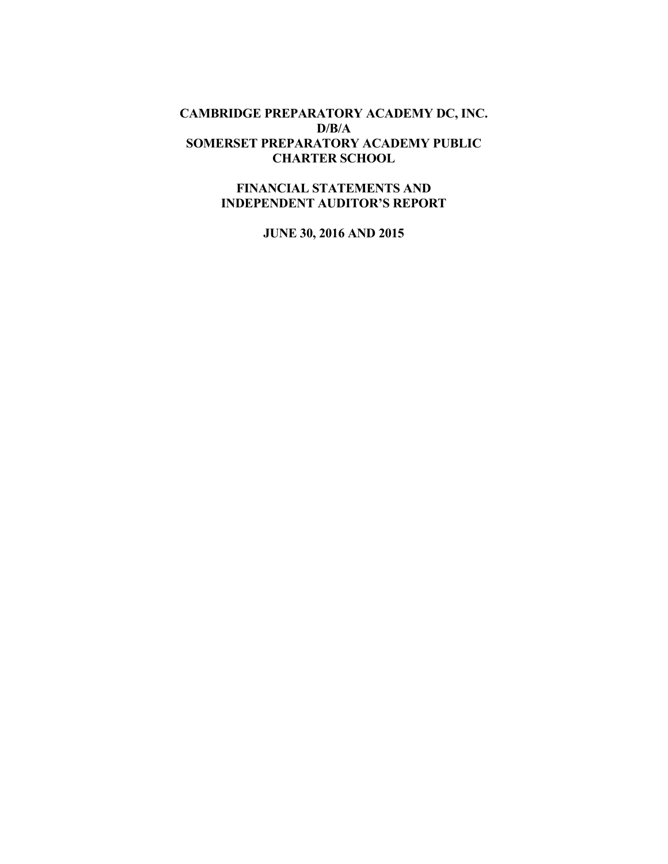### **CAMBRIDGE PREPARATORY ACADEMY DC, INC. D/B/A SOMERSET PREPARATORY ACADEMY PUBLIC CHARTER SCHOOL**

# **FINANCIAL STATEMENTS AND INDEPENDENT AUDITOR'S REPORT**

**JUNE 30, 2016 AND 2015**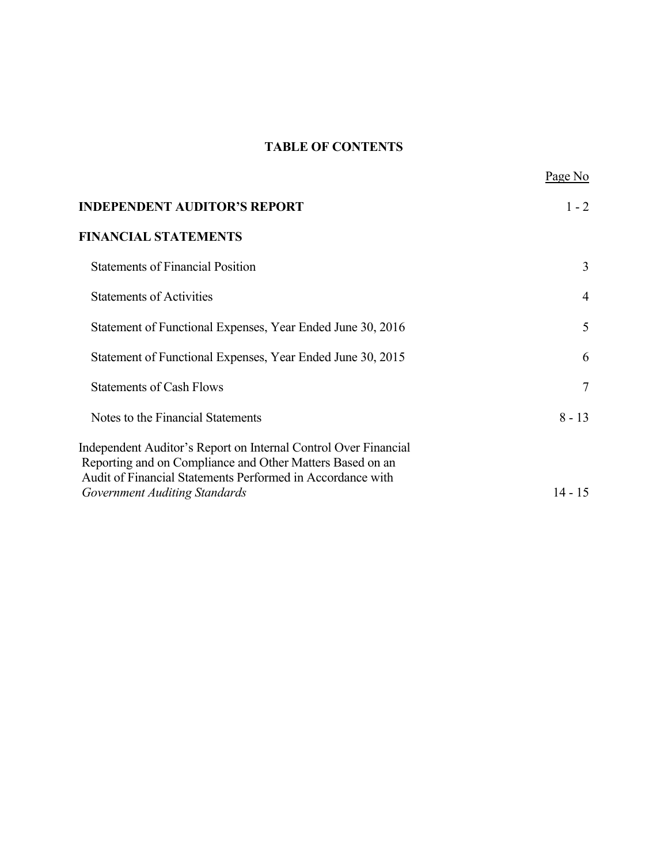# **TABLE OF CONTENTS**

|                                                                                                                                                                                            | Page No        |
|--------------------------------------------------------------------------------------------------------------------------------------------------------------------------------------------|----------------|
| <b>INDEPENDENT AUDITOR'S REPORT</b>                                                                                                                                                        | $1 - 2$        |
| <b>FINANCIAL STATEMENTS</b>                                                                                                                                                                |                |
| <b>Statements of Financial Position</b>                                                                                                                                                    | 3              |
| <b>Statements of Activities</b>                                                                                                                                                            | $\overline{4}$ |
| Statement of Functional Expenses, Year Ended June 30, 2016                                                                                                                                 | 5              |
| Statement of Functional Expenses, Year Ended June 30, 2015                                                                                                                                 | 6              |
| <b>Statements of Cash Flows</b>                                                                                                                                                            | 7              |
| Notes to the Financial Statements                                                                                                                                                          | $8 - 13$       |
| Independent Auditor's Report on Internal Control Over Financial<br>Reporting and on Compliance and Other Matters Based on an<br>Audit of Financial Statements Performed in Accordance with |                |
| Government Auditing Standards                                                                                                                                                              | $14 - 15$      |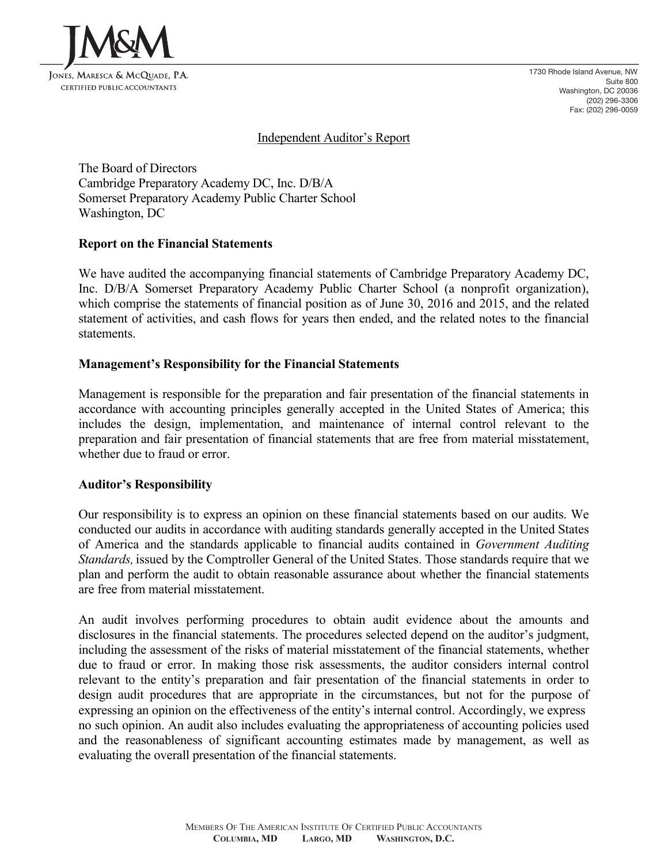

1730 Rhode Island Avenue, NW Suite 800 Washington, DC 20036 (202) 296-3306 Fax: (202) 296-0059

#### Independent Auditor's Report

The Board of Directors Cambridge Preparatory Academy DC, Inc. D/B/A Somerset Preparatory Academy Public Charter School Washington, DC

#### **Report on the Financial Statements**

We have audited the accompanying financial statements of Cambridge Preparatory Academy DC, Inc. D/B/A Somerset Preparatory Academy Public Charter School (a nonprofit organization), which comprise the statements of financial position as of June 30, 2016 and 2015, and the related statement of activities, and cash flows for years then ended, and the related notes to the financial statements.

### **Management's Responsibility for the Financial Statements**

Management is responsible for the preparation and fair presentation of the financial statements in accordance with accounting principles generally accepted in the United States of America; this includes the design, implementation, and maintenance of internal control relevant to the preparation and fair presentation of financial statements that are free from material misstatement, whether due to fraud or error.

### **Auditor's Responsibility**

Our responsibility is to express an opinion on these financial statements based on our audits. We conducted our audits in accordance with auditing standards generally accepted in the United States of America and the standards applicable to financial audits contained in *Government Auditing Standards,* issued by the Comptroller General of the United States. Those standards require that we plan and perform the audit to obtain reasonable assurance about whether the financial statements are free from material misstatement.

An audit involves performing procedures to obtain audit evidence about the amounts and disclosures in the financial statements. The procedures selected depend on the auditor's judgment, including the assessment of the risks of material misstatement of the financial statements, whether due to fraud or error. In making those risk assessments, the auditor considers internal control relevant to the entity's preparation and fair presentation of the financial statements in order to design audit procedures that are appropriate in the circumstances, but not for the purpose of expressing an opinion on the effectiveness of the entity's internal control. Accordingly, we express no such opinion. An audit also includes evaluating the appropriateness of accounting policies used and the reasonableness of significant accounting estimates made by management, as well as evaluating the overall presentation of the financial statements.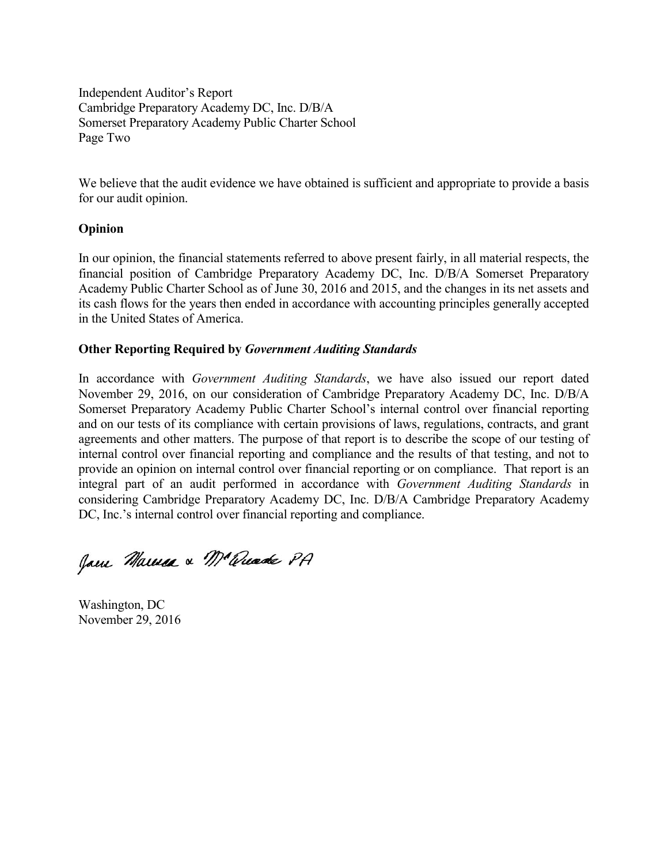Independent Auditor's Report Cambridge Preparatory Academy DC, Inc. D/B/A Somerset Preparatory Academy Public Charter School Page Two

We believe that the audit evidence we have obtained is sufficient and appropriate to provide a basis for our audit opinion.

# **Opinion**

In our opinion, the financial statements referred to above present fairly, in all material respects, the financial position of Cambridge Preparatory Academy DC, Inc. D/B/A Somerset Preparatory Academy Public Charter School as of June 30, 2016 and 2015, and the changes in its net assets and its cash flows for the years then ended in accordance with accounting principles generally accepted in the United States of America.

# **Other Reporting Required by** *Government Auditing Standards*

In accordance with *Government Auditing Standards*, we have also issued our report dated November 29, 2016, on our consideration of Cambridge Preparatory Academy DC, Inc. D/B/A Somerset Preparatory Academy Public Charter School's internal control over financial reporting and on our tests of its compliance with certain provisions of laws, regulations, contracts, and grant agreements and other matters. The purpose of that report is to describe the scope of our testing of internal control over financial reporting and compliance and the results of that testing, and not to provide an opinion on internal control over financial reporting or on compliance. That report is an integral part of an audit performed in accordance with *Government Auditing Standards* in considering Cambridge Preparatory Academy DC, Inc. D/B/A Cambridge Preparatory Academy DC, Inc.'s internal control over financial reporting and compliance.

Jam Marma & Ma Quade PA

Washington, DC November 29, 2016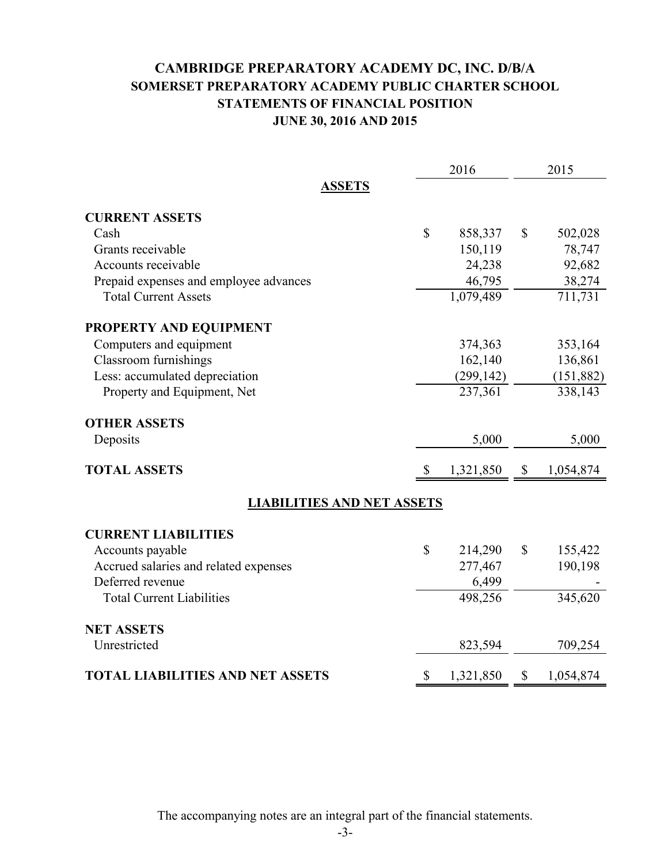# **STATEMENTS OF FINANCIAL POSITION JUNE 30, 2016 AND 2015 SOMERSET PREPARATORY ACADEMY PUBLIC CHARTER SCHOOL CAMBRIDGE PREPARATORY ACADEMY DC, INC. D/B/A**

|                                         |              | 2016       | 2015         |            |  |
|-----------------------------------------|--------------|------------|--------------|------------|--|
| <b>ASSETS</b>                           |              |            |              |            |  |
| <b>CURRENT ASSETS</b>                   |              |            |              |            |  |
| Cash                                    | $\mathbb{S}$ | 858,337    | \$           | 502,028    |  |
| Grants receivable                       |              | 150,119    |              | 78,747     |  |
| Accounts receivable                     |              | 24,238     |              | 92,682     |  |
| Prepaid expenses and employee advances  |              | 46,795     |              | 38,274     |  |
| <b>Total Current Assets</b>             |              | 1,079,489  |              | 711,731    |  |
| PROPERTY AND EQUIPMENT                  |              |            |              |            |  |
| Computers and equipment                 |              | 374,363    |              | 353,164    |  |
| Classroom furnishings                   |              | 162,140    |              | 136,861    |  |
| Less: accumulated depreciation          |              | (299, 142) |              | (151, 882) |  |
| Property and Equipment, Net             |              | 237,361    |              | 338,143    |  |
| <b>OTHER ASSETS</b>                     |              |            |              |            |  |
| Deposits                                |              | 5,000      |              | 5,000      |  |
| <b>TOTAL ASSETS</b>                     | \$           | 1,321,850  | \$           | 1,054,874  |  |
| <b>LIABILITIES AND NET ASSETS</b>       |              |            |              |            |  |
| <b>CURRENT LIABILITIES</b>              |              |            |              |            |  |
| Accounts payable                        | \$           | 214,290    | $\mathbb{S}$ | 155,422    |  |
| Accrued salaries and related expenses   |              | 277,467    |              | 190,198    |  |
| Deferred revenue                        |              | 6,499      |              |            |  |
| <b>Total Current Liabilities</b>        |              | 498,256    |              | 345,620    |  |
| <b>NET ASSETS</b>                       |              |            |              |            |  |
| Unrestricted                            |              | 823,594    |              | 709,254    |  |
| <b>TOTAL LIABILITIES AND NET ASSETS</b> | \$           | 1,321,850  | $\mathbb{S}$ | 1,054,874  |  |

The accompanying notes are an integral part of the financial statements.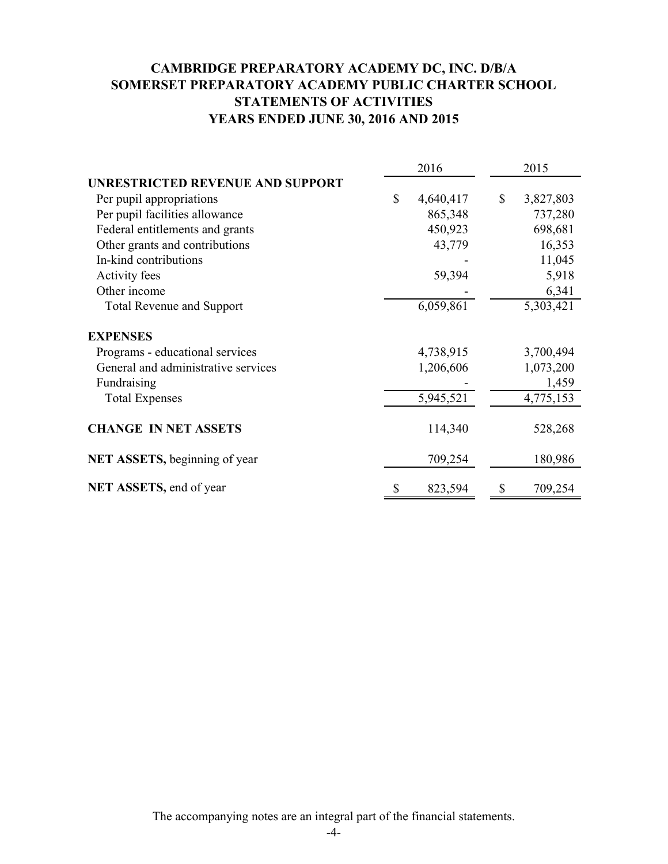# **CAMBRIDGE PREPARATORY ACADEMY DC, INC. D/B/A STATEMENTS OF ACTIVITIES YEARS ENDED JUNE 30, 2016 AND 2015 SOMERSET PREPARATORY ACADEMY PUBLIC CHARTER SCHOOL**

|                                      | 2016 |           |    | 2015      |  |  |
|--------------------------------------|------|-----------|----|-----------|--|--|
| UNRESTRICTED REVENUE AND SUPPORT     |      |           |    |           |  |  |
| Per pupil appropriations             | \$   | 4,640,417 | \$ | 3,827,803 |  |  |
| Per pupil facilities allowance       |      | 865,348   |    | 737,280   |  |  |
| Federal entitlements and grants      |      | 450,923   |    | 698,681   |  |  |
| Other grants and contributions       |      | 43,779    |    | 16,353    |  |  |
| In-kind contributions                |      |           |    | 11,045    |  |  |
| Activity fees                        |      | 59,394    |    | 5,918     |  |  |
| Other income                         |      |           |    | 6,341     |  |  |
| <b>Total Revenue and Support</b>     |      | 6,059,861 |    | 5,303,421 |  |  |
| <b>EXPENSES</b>                      |      |           |    |           |  |  |
| Programs - educational services      |      | 4,738,915 |    | 3,700,494 |  |  |
| General and administrative services  |      | 1,206,606 |    | 1,073,200 |  |  |
| Fundraising                          |      |           |    | 1,459     |  |  |
| <b>Total Expenses</b>                |      | 5,945,521 |    | 4,775,153 |  |  |
| <b>CHANGE IN NET ASSETS</b>          |      | 114,340   |    | 528,268   |  |  |
| <b>NET ASSETS, beginning of year</b> |      | 709,254   |    | 180,986   |  |  |
| NET ASSETS, end of year              | S    | 823,594   | \$ | 709,254   |  |  |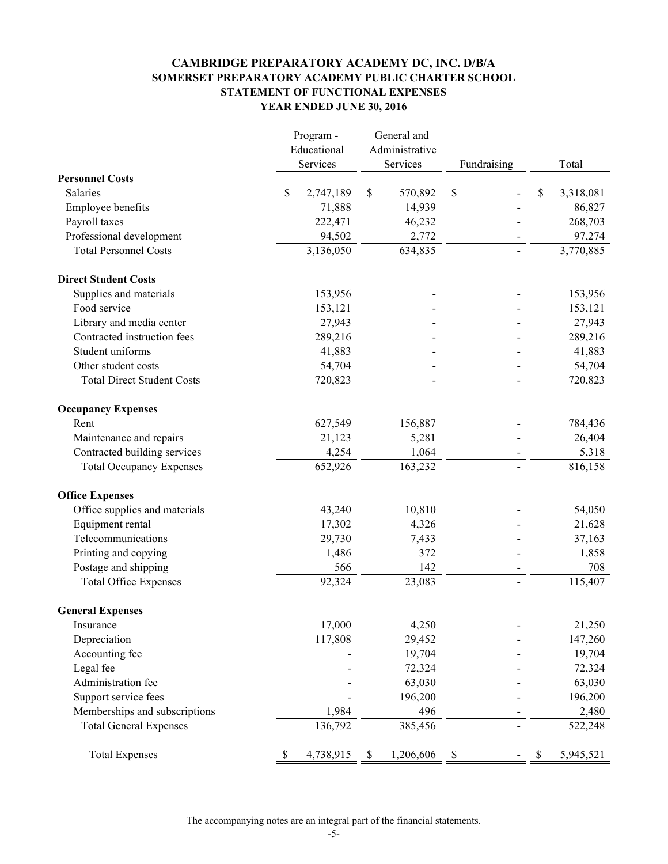### **SOMERSET PREPARATORY ACADEMY PUBLIC CHARTER SCHOOL STATEMENT OF FUNCTIONAL EXPENSES YEAR ENDED JUNE 30, 2016 CAMBRIDGE PREPARATORY ACADEMY DC, INC. D/B/A**

|                                   | Program -       | General and<br>Administrative<br>Services |           |                          |                 |
|-----------------------------------|-----------------|-------------------------------------------|-----------|--------------------------|-----------------|
|                                   | Educational     |                                           |           |                          |                 |
|                                   | Services        |                                           |           | Fundraising              | Total           |
| <b>Personnel Costs</b>            |                 |                                           |           |                          |                 |
| Salaries                          | \$<br>2,747,189 | \$                                        | 570,892   | \$                       | \$<br>3,318,081 |
| Employee benefits                 | 71,888          |                                           | 14,939    |                          | 86,827          |
| Payroll taxes                     | 222,471         |                                           | 46,232    |                          | 268,703         |
| Professional development          | 94,502          |                                           | 2,772     |                          | 97,274          |
| <b>Total Personnel Costs</b>      | 3,136,050       |                                           | 634,835   |                          | 3,770,885       |
| <b>Direct Student Costs</b>       |                 |                                           |           |                          |                 |
| Supplies and materials            | 153,956         |                                           |           |                          | 153,956         |
| Food service                      | 153,121         |                                           |           |                          | 153,121         |
| Library and media center          | 27,943          |                                           |           |                          | 27,943          |
| Contracted instruction fees       | 289,216         |                                           |           |                          | 289,216         |
| Student uniforms                  | 41,883          |                                           |           |                          | 41,883          |
| Other student costs               | 54,704          |                                           |           |                          | 54,704          |
| <b>Total Direct Student Costs</b> | 720,823         |                                           |           | $\overline{\phantom{0}}$ | 720,823         |
| <b>Occupancy Expenses</b>         |                 |                                           |           |                          |                 |
| Rent                              | 627,549         |                                           | 156,887   |                          | 784,436         |
| Maintenance and repairs           | 21,123          |                                           | 5,281     |                          | 26,404          |
| Contracted building services      | 4,254           |                                           | 1,064     |                          | 5,318           |
| <b>Total Occupancy Expenses</b>   | 652,926         |                                           | 163,232   |                          | 816,158         |
| <b>Office Expenses</b>            |                 |                                           |           |                          |                 |
| Office supplies and materials     | 43,240          |                                           | 10,810    |                          | 54,050          |
| Equipment rental                  | 17,302          |                                           | 4,326     |                          | 21,628          |
| Telecommunications                | 29,730          |                                           | 7,433     |                          | 37,163          |
| Printing and copying              | 1,486           |                                           | 372       |                          | 1,858           |
| Postage and shipping              | 566             |                                           | 142       |                          | 708             |
| <b>Total Office Expenses</b>      | 92,324          |                                           | 23,083    |                          | 115,407         |
| <b>General Expenses</b>           |                 |                                           |           |                          |                 |
| Insurance                         | 17,000          |                                           | 4,250     |                          | 21,250          |
| Depreciation                      | 117,808         |                                           | 29,452    |                          | 147,260         |
| Accounting fee                    |                 |                                           | 19,704    |                          | 19,704          |
| Legal fee                         |                 |                                           | 72,324    |                          | 72,324          |
| Administration fee                |                 |                                           | 63,030    |                          | 63,030          |
| Support service fees              |                 |                                           | 196,200   |                          | 196,200         |
| Memberships and subscriptions     | 1,984           |                                           | 496       |                          | 2,480           |
| <b>Total General Expenses</b>     | 136,792         |                                           | 385,456   |                          | 522,248         |
| <b>Total Expenses</b>             | \$<br>4,738,915 | \$                                        | 1,206,606 | \$                       | \$<br>5,945,521 |

The accompanying notes are an integral part of the financial statements.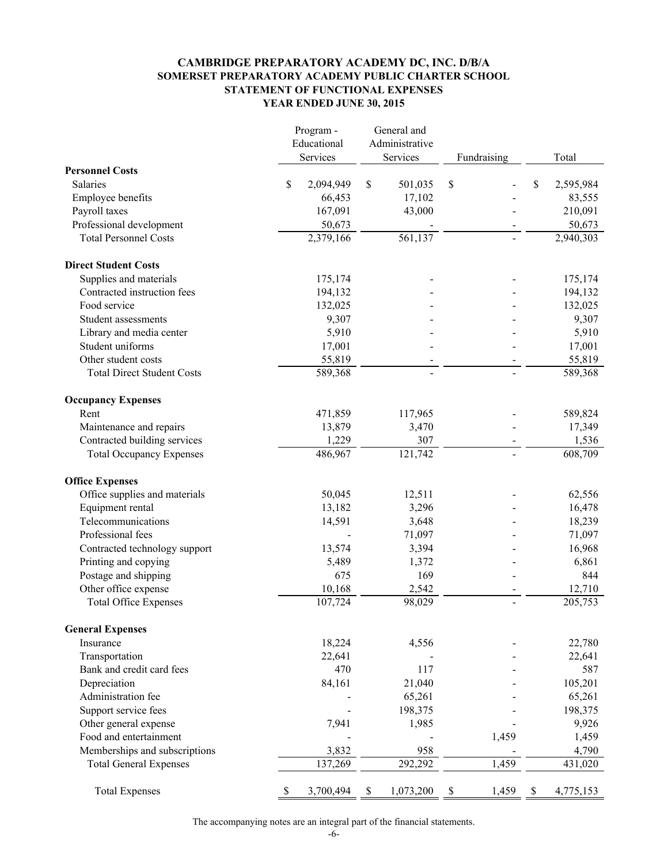#### **CAMBRIDGE PREPARATORY ACADEMY DC, INC. D/B/A SOMERSET PREPARATORY ACADEMY PUBLIC CHARTER SCHOOL STATEMENT OF FUNCTIONAL EXPENSES YEAR ENDED JUNE 30, 2015**

|                                   | Program -       | General and |                |                       |                 |
|-----------------------------------|-----------------|-------------|----------------|-----------------------|-----------------|
|                                   | Educational     |             | Administrative |                       |                 |
|                                   | Services        |             | Services       | Fundraising           | Total           |
| <b>Personnel Costs</b>            |                 |             |                |                       |                 |
| Salaries                          | \$<br>2,094,949 | \$          | 501,035        | $\mathsf{\$}$         | \$<br>2,595,984 |
| Employee benefits                 | 66,453          |             | 17,102         |                       | 83,555          |
| Payroll taxes                     | 167,091         |             | 43,000         |                       | 210,091         |
| Professional development          | 50,673          |             |                |                       | 50,673          |
| <b>Total Personnel Costs</b>      | 2,379,166       |             | 561,137        |                       | 2,940,303       |
| <b>Direct Student Costs</b>       |                 |             |                |                       |                 |
| Supplies and materials            | 175,174         |             |                |                       | 175,174         |
| Contracted instruction fees       | 194,132         |             |                |                       | 194,132         |
| Food service                      | 132,025         |             |                |                       | 132,025         |
| Student assessments               | 9,307           |             |                |                       | 9,307           |
| Library and media center          | 5,910           |             |                |                       | 5,910           |
| Student uniforms                  | 17,001          |             |                |                       | 17,001          |
| Other student costs               | 55,819          |             |                |                       | 55,819          |
| <b>Total Direct Student Costs</b> | 589,368         |             |                |                       | 589,368         |
| <b>Occupancy Expenses</b>         |                 |             |                |                       |                 |
| Rent                              | 471,859         |             | 117,965        |                       | 589,824         |
| Maintenance and repairs           | 13,879          |             | 3,470          |                       | 17,349          |
| Contracted building services      | 1,229           |             | 307            |                       | 1,536           |
| <b>Total Occupancy Expenses</b>   | 486,967         |             | 121,742        |                       | 608,709         |
| <b>Office Expenses</b>            |                 |             |                |                       |                 |
| Office supplies and materials     | 50,045          |             | 12,511         |                       | 62,556          |
| Equipment rental                  | 13,182          |             | 3,296          |                       | 16,478          |
| Telecommunications                | 14,591          |             | 3,648          |                       | 18,239          |
| Professional fees                 |                 |             | 71,097         |                       | 71,097          |
| Contracted technology support     | 13,574          |             | 3,394          |                       | 16,968          |
| Printing and copying              | 5,489           |             | 1,372          |                       | 6,861           |
| Postage and shipping              | 675             |             | 169            |                       | 844             |
| Other office expense              | 10,168          |             | 2,542          |                       | 12,710          |
| <b>Total Office Expenses</b>      | 107,724         |             | 98,029         |                       | 205,753         |
| <b>General Expenses</b>           |                 |             |                |                       |                 |
| Insurance                         | 18,224          |             | 4,556          |                       | 22,780          |
| Transportation                    | 22,641          |             |                |                       | 22,641          |
| Bank and credit card fees         | 470             |             | 117            |                       | 587             |
| Depreciation                      | 84,161          |             | 21,040         |                       | 105,201         |
| Administration fee                |                 |             | 65,261         |                       | 65,261          |
| Support service fees              |                 |             | 198,375        |                       | 198,375         |
| Other general expense             | 7,941           |             | 1,985          |                       | 9,926           |
| Food and entertainment            |                 |             |                | 1,459                 | 1,459           |
| Memberships and subscriptions     | 3,832           |             | 958            |                       | 4,790           |
| <b>Total General Expenses</b>     | 137,269         |             | 292,292        | 1,459                 | 431,020         |
| <b>Total Expenses</b>             | \$<br>3,700,494 | \$          | 1,073,200      | $\mathbb{S}$<br>1,459 | \$<br>4,775,153 |

The accompanying notes are an integral part of the financial statements.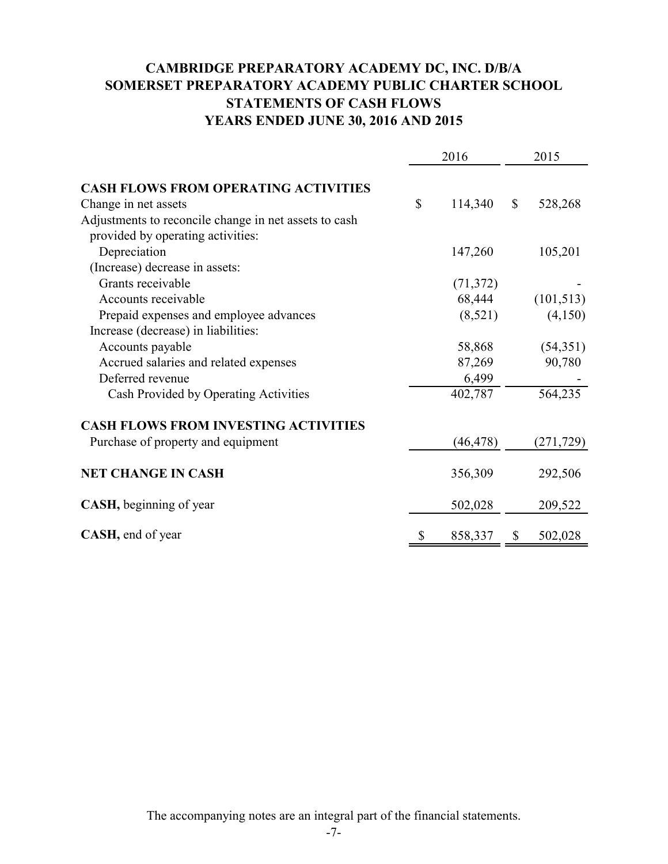# **SOMERSET PREPARATORY ACADEMY PUBLIC CHARTER SCHOOL STATEMENTS OF CASH FLOWS YEARS ENDED JUNE 30, 2016 AND 2015 CAMBRIDGE PREPARATORY ACADEMY DC, INC. D/B/A**

|                                                       | 2016 |           |              | 2015       |  |  |
|-------------------------------------------------------|------|-----------|--------------|------------|--|--|
| <b>CASH FLOWS FROM OPERATING ACTIVITIES</b>           |      |           |              |            |  |  |
| Change in net assets                                  | \$   | 114,340   | $\mathbb{S}$ | 528,268    |  |  |
| Adjustments to reconcile change in net assets to cash |      |           |              |            |  |  |
| provided by operating activities:                     |      |           |              |            |  |  |
| Depreciation                                          |      | 147,260   |              | 105,201    |  |  |
| (Increase) decrease in assets:                        |      |           |              |            |  |  |
| Grants receivable                                     |      | (71, 372) |              |            |  |  |
| Accounts receivable                                   |      | 68,444    |              | (101, 513) |  |  |
| Prepaid expenses and employee advances                |      | (8,521)   |              | (4,150)    |  |  |
| Increase (decrease) in liabilities:                   |      |           |              |            |  |  |
| Accounts payable                                      |      | 58,868    |              | (54, 351)  |  |  |
| Accrued salaries and related expenses                 |      | 87,269    |              | 90,780     |  |  |
| Deferred revenue                                      |      | 6,499     |              |            |  |  |
| Cash Provided by Operating Activities                 |      | 402,787   |              | 564,235    |  |  |
| <b>CASH FLOWS FROM INVESTING ACTIVITIES</b>           |      |           |              |            |  |  |
| Purchase of property and equipment                    |      | (46, 478) |              | (271, 729) |  |  |
| <b>NET CHANGE IN CASH</b>                             |      | 356,309   |              | 292,506    |  |  |
| <b>CASH</b> , beginning of year                       |      | 502,028   |              | 209,522    |  |  |
| CASH, end of year                                     | \$   | 858,337   | \$           | 502,028    |  |  |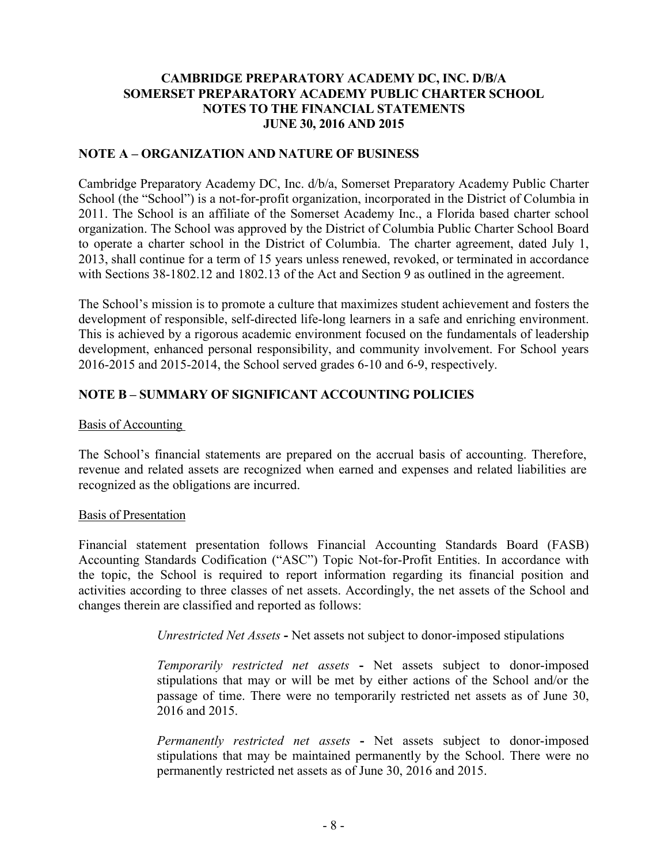### **NOTE A – ORGANIZATION AND NATURE OF BUSINESS**

Cambridge Preparatory Academy DC, Inc. d/b/a, Somerset Preparatory Academy Public Charter School (the "School") is a not-for-profit organization, incorporated in the District of Columbia in 2011. The School is an affiliate of the Somerset Academy Inc., a Florida based charter school organization. The School was approved by the District of Columbia Public Charter School Board to operate a charter school in the District of Columbia. The charter agreement, dated July 1, 2013, shall continue for a term of 15 years unless renewed, revoked, or terminated in accordance with Sections 38-1802.12 and 1802.13 of the Act and Section 9 as outlined in the agreement.

The School's mission is to promote a culture that maximizes student achievement and fosters the development of responsible, self-directed life-long learners in a safe and enriching environment. This is achieved by a rigorous academic environment focused on the fundamentals of leadership development, enhanced personal responsibility, and community involvement. For School years 2016-2015 and 2015-2014, the School served grades 6-10 and 6-9, respectively.

# **NOTE B – SUMMARY OF SIGNIFICANT ACCOUNTING POLICIES**

### Basis of Accounting

The School's financial statements are prepared on the accrual basis of accounting. Therefore, revenue and related assets are recognized when earned and expenses and related liabilities are recognized as the obligations are incurred.

#### Basis of Presentation

Financial statement presentation follows Financial Accounting Standards Board (FASB) Accounting Standards Codification ("ASC") Topic Not-for-Profit Entities. In accordance with the topic, the School is required to report information regarding its financial position and activities according to three classes of net assets. Accordingly, the net assets of the School and changes therein are classified and reported as follows:

*Unrestricted Net Assets* **-** Net assets not subject to donor-imposed stipulations

*Temporarily restricted net assets* **-** Net assets subject to donor-imposed stipulations that may or will be met by either actions of the School and/or the passage of time. There were no temporarily restricted net assets as of June 30, 2016 and 2015.

*Permanently restricted net assets* **-** Net assets subject to donor-imposed stipulations that may be maintained permanently by the School. There were no permanently restricted net assets as of June 30, 2016 and 2015.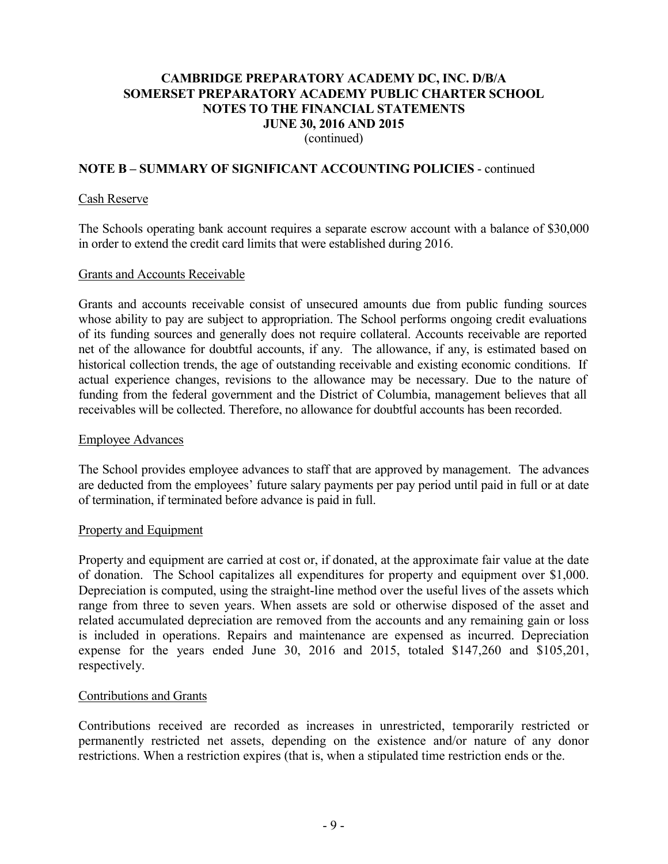## **NOTE B – SUMMARY OF SIGNIFICANT ACCOUNTING POLICIES** - continued

#### Cash Reserve

The Schools operating bank account requires a separate escrow account with a balance of \$30,000 in order to extend the credit card limits that were established during 2016.

#### Grants and Accounts Receivable

Grants and accounts receivable consist of unsecured amounts due from public funding sources whose ability to pay are subject to appropriation. The School performs ongoing credit evaluations of its funding sources and generally does not require collateral. Accounts receivable are reported net of the allowance for doubtful accounts, if any. The allowance, if any, is estimated based on historical collection trends, the age of outstanding receivable and existing economic conditions. If actual experience changes, revisions to the allowance may be necessary. Due to the nature of funding from the federal government and the District of Columbia, management believes that all receivables will be collected. Therefore, no allowance for doubtful accounts has been recorded.

#### Employee Advances

The School provides employee advances to staff that are approved by management. The advances are deducted from the employees' future salary payments per pay period until paid in full or at date of termination, if terminated before advance is paid in full.

#### Property and Equipment

Property and equipment are carried at cost or, if donated, at the approximate fair value at the date of donation. The School capitalizes all expenditures for property and equipment over \$1,000. Depreciation is computed, using the straight-line method over the useful lives of the assets which range from three to seven years. When assets are sold or otherwise disposed of the asset and related accumulated depreciation are removed from the accounts and any remaining gain or loss is included in operations. Repairs and maintenance are expensed as incurred. Depreciation expense for the years ended June 30, 2016 and 2015, totaled \$147,260 and \$105,201, respectively.

#### Contributions and Grants

Contributions received are recorded as increases in unrestricted, temporarily restricted or permanently restricted net assets, depending on the existence and/or nature of any donor restrictions. When a restriction expires (that is, when a stipulated time restriction ends or the.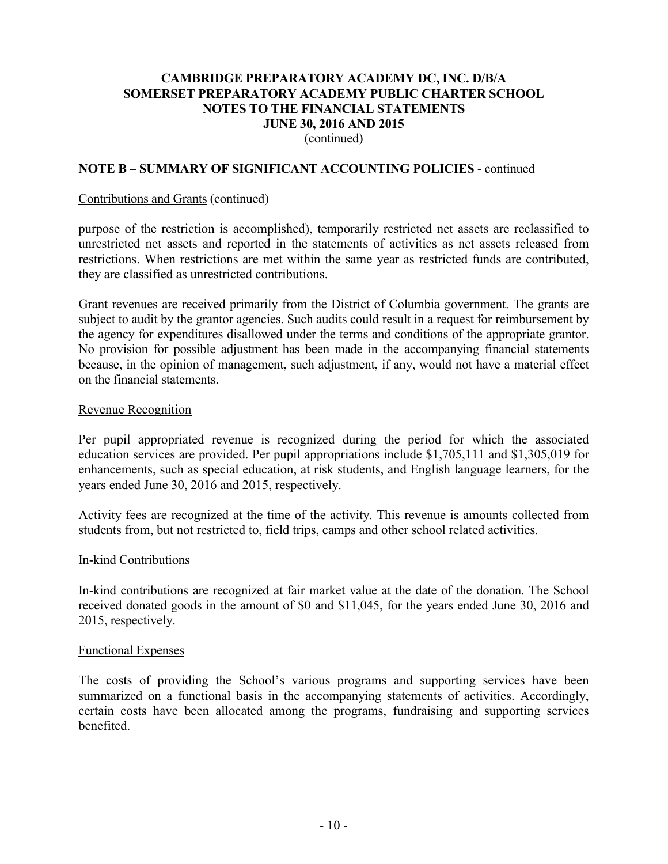## **NOTE B – SUMMARY OF SIGNIFICANT ACCOUNTING POLICIES** - continued

#### Contributions and Grants (continued)

purpose of the restriction is accomplished), temporarily restricted net assets are reclassified to unrestricted net assets and reported in the statements of activities as net assets released from restrictions. When restrictions are met within the same year as restricted funds are contributed, they are classified as unrestricted contributions.

Grant revenues are received primarily from the District of Columbia government. The grants are subject to audit by the grantor agencies. Such audits could result in a request for reimbursement by the agency for expenditures disallowed under the terms and conditions of the appropriate grantor. No provision for possible adjustment has been made in the accompanying financial statements because, in the opinion of management, such adjustment, if any, would not have a material effect on the financial statements.

#### Revenue Recognition

Per pupil appropriated revenue is recognized during the period for which the associated education services are provided. Per pupil appropriations include \$1,705,111 and \$1,305,019 for enhancements, such as special education, at risk students, and English language learners, for the years ended June 30, 2016 and 2015, respectively.

Activity fees are recognized at the time of the activity. This revenue is amounts collected from students from, but not restricted to, field trips, camps and other school related activities.

#### In-kind Contributions

In-kind contributions are recognized at fair market value at the date of the donation. The School received donated goods in the amount of \$0 and \$11,045, for the years ended June 30, 2016 and 2015, respectively.

#### Functional Expenses

The costs of providing the School's various programs and supporting services have been summarized on a functional basis in the accompanying statements of activities. Accordingly, certain costs have been allocated among the programs, fundraising and supporting services benefited.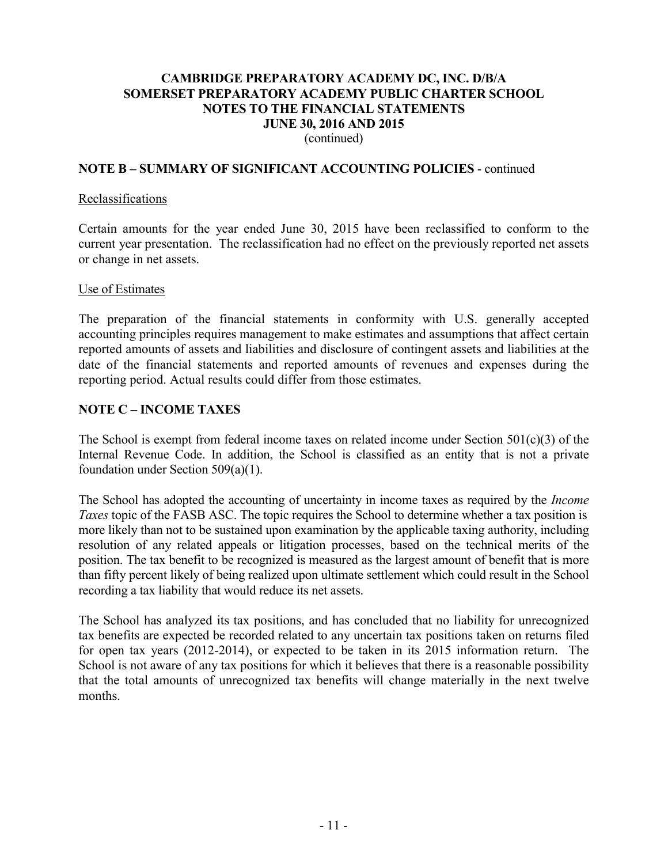### **NOTE B – SUMMARY OF SIGNIFICANT ACCOUNTING POLICIES** - continued

#### Reclassifications

Certain amounts for the year ended June 30, 2015 have been reclassified to conform to the current year presentation. The reclassification had no effect on the previously reported net assets or change in net assets.

#### Use of Estimates

The preparation of the financial statements in conformity with U.S. generally accepted accounting principles requires management to make estimates and assumptions that affect certain reported amounts of assets and liabilities and disclosure of contingent assets and liabilities at the date of the financial statements and reported amounts of revenues and expenses during the reporting period. Actual results could differ from those estimates.

### **NOTE C – INCOME TAXES**

The School is exempt from federal income taxes on related income under Section 501(c)(3) of the Internal Revenue Code. In addition, the School is classified as an entity that is not a private foundation under Section 509(a)(1).

The School has adopted the accounting of uncertainty in income taxes as required by the *Income Taxes* topic of the FASB ASC. The topic requires the School to determine whether a tax position is more likely than not to be sustained upon examination by the applicable taxing authority, including resolution of any related appeals or litigation processes, based on the technical merits of the position. The tax benefit to be recognized is measured as the largest amount of benefit that is more than fifty percent likely of being realized upon ultimate settlement which could result in the School recording a tax liability that would reduce its net assets.

The School has analyzed its tax positions, and has concluded that no liability for unrecognized tax benefits are expected be recorded related to any uncertain tax positions taken on returns filed for open tax years (2012-2014), or expected to be taken in its 2015 information return. The School is not aware of any tax positions for which it believes that there is a reasonable possibility that the total amounts of unrecognized tax benefits will change materially in the next twelve months.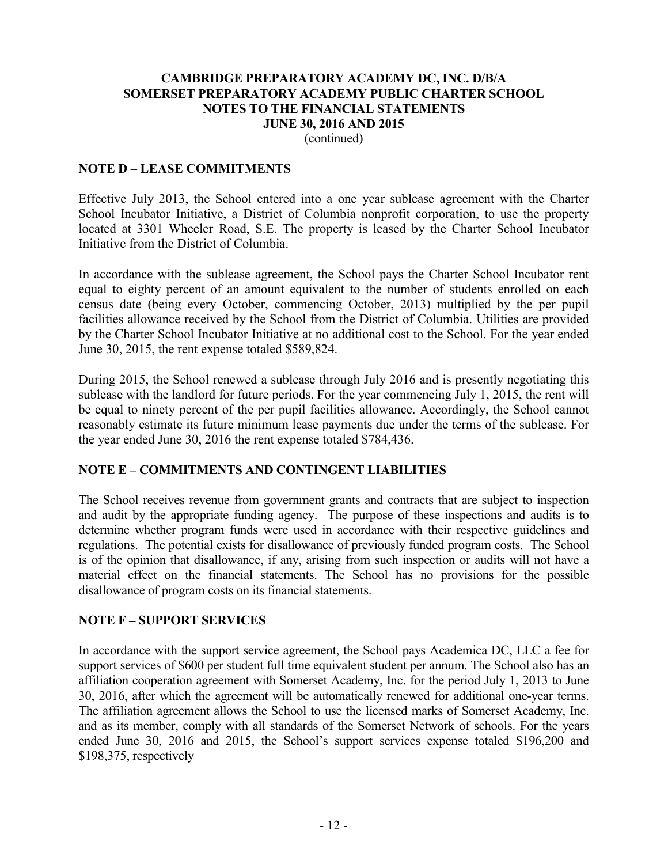(continued)

# **NOTE D – LEASE COMMITMENTS**

Effective July 2013, the School entered into a one year sublease agreement with the Charter School Incubator Initiative, a District of Columbia nonprofit corporation, to use the property located at 3301 Wheeler Road, S.E. The property is leased by the Charter School Incubator Initiative from the District of Columbia.

In accordance with the sublease agreement, the School pays the Charter School Incubator rent equal to eighty percent of an amount equivalent to the number of students enrolled on each census date (being every October, commencing October, 2013) multiplied by the per pupil facilities allowance received by the School from the District of Columbia. Utilities are provided by the Charter School Incubator Initiative at no additional cost to the School. For the year ended June 30, 2015, the rent expense totaled \$589,824.

During 2015, the School renewed a sublease through July 2016 and is presently negotiating this sublease with the landlord for future periods. For the year commencing July 1, 2015, the rent will be equal to ninety percent of the per pupil facilities allowance. Accordingly, the School cannot reasonably estimate its future minimum lease payments due under the terms of the sublease. For the year ended June 30, 2016 the rent expense totaled \$784,436.

# **NOTE E – COMMITMENTS AND CONTINGENT LIABILITIES**

The School receives revenue from government grants and contracts that are subject to inspection and audit by the appropriate funding agency. The purpose of these inspections and audits is to determine whether program funds were used in accordance with their respective guidelines and regulations. The potential exists for disallowance of previously funded program costs. The School is of the opinion that disallowance, if any, arising from such inspection or audits will not have a material effect on the financial statements. The School has no provisions for the possible disallowance of program costs on its financial statements.

# **NOTE F – SUPPORT SERVICES**

In accordance with the support service agreement, the School pays Academica DC, LLC a fee for support services of \$600 per student full time equivalent student per annum. The School also has an affiliation cooperation agreement with Somerset Academy, Inc. for the period July 1, 2013 to June 30, 2016, after which the agreement will be automatically renewed for additional one-year terms. The affiliation agreement allows the School to use the licensed marks of Somerset Academy, Inc. and as its member, comply with all standards of the Somerset Network of schools. For the years ended June 30, 2016 and 2015, the School's support services expense totaled \$196,200 and \$198,375, respectively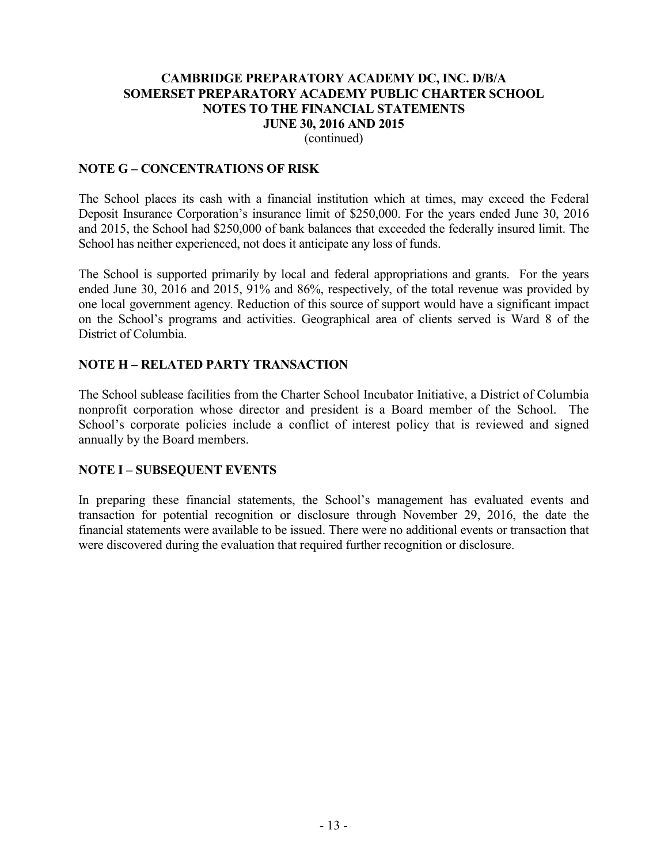### **NOTE G – CONCENTRATIONS OF RISK**

The School places its cash with a financial institution which at times, may exceed the Federal Deposit Insurance Corporation's insurance limit of \$250,000. For the years ended June 30, 2016 and 2015, the School had \$250,000 of bank balances that exceeded the federally insured limit. The School has neither experienced, not does it anticipate any loss of funds.

The School is supported primarily by local and federal appropriations and grants. For the years ended June 30, 2016 and 2015, 91% and 86%, respectively, of the total revenue was provided by one local government agency. Reduction of this source of support would have a significant impact on the School's programs and activities. Geographical area of clients served is Ward 8 of the District of Columbia.

### **NOTE H – RELATED PARTY TRANSACTION**

The School sublease facilities from the Charter School Incubator Initiative, a District of Columbia nonprofit corporation whose director and president is a Board member of the School. The School's corporate policies include a conflict of interest policy that is reviewed and signed annually by the Board members.

### **NOTE I – SUBSEQUENT EVENTS**

In preparing these financial statements, the School's management has evaluated events and transaction for potential recognition or disclosure through November 29, 2016, the date the financial statements were available to be issued. There were no additional events or transaction that were discovered during the evaluation that required further recognition or disclosure.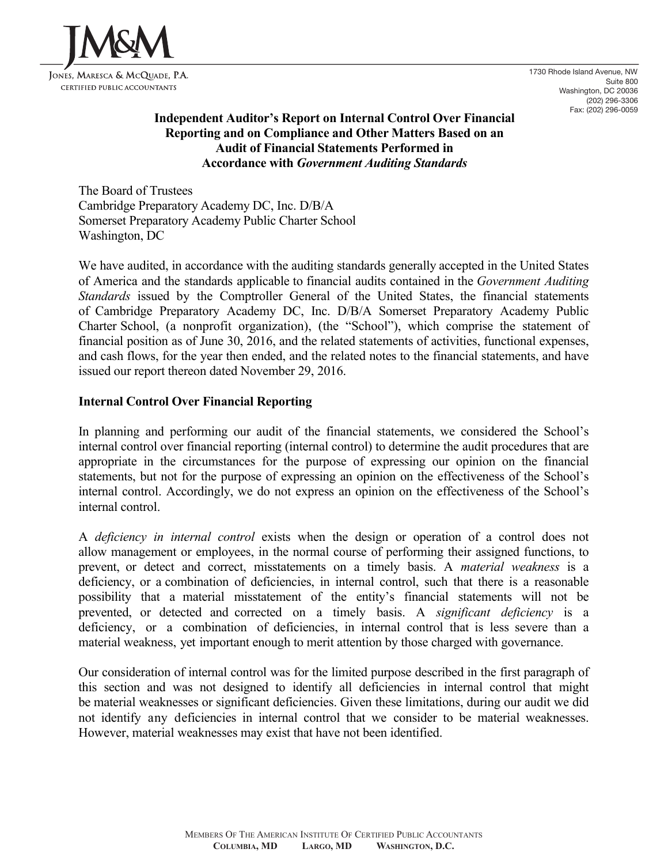



# **Independent Auditor's Report on Internal Control Over Financial Reporting and on Compliance and Other Matters Based on an Audit of Financial Statements Performed in Accordance with** *Government Auditing Standards*

The Board of Trustees Cambridge Preparatory Academy DC, Inc. D/B/A Somerset Preparatory Academy Public Charter School Washington, DC

We have audited, in accordance with the auditing standards generally accepted in the United States of America and the standards applicable to financial audits contained in the *Government Auditing Standards* issued by the Comptroller General of the United States, the financial statements of Cambridge Preparatory Academy DC, Inc. D/B/A Somerset Preparatory Academy Public Charter School, (a nonprofit organization), (the "School"), which comprise the statement of financial position as of June 30, 2016, and the related statements of activities, functional expenses, and cash flows, for the year then ended, and the related notes to the financial statements, and have issued our report thereon dated November 29, 2016.

# **Internal Control Over Financial Reporting**

In planning and performing our audit of the financial statements, we considered the School's internal control over financial reporting (internal control) to determine the audit procedures that are appropriate in the circumstances for the purpose of expressing our opinion on the financial statements, but not for the purpose of expressing an opinion on the effectiveness of the School's internal control. Accordingly, we do not express an opinion on the effectiveness of the School's internal control.

A *deficiency in internal control* exists when the design or operation of a control does not allow management or employees, in the normal course of performing their assigned functions, to prevent, or detect and correct, misstatements on a timely basis. A *material weakness* is a deficiency, or a combination of deficiencies, in internal control, such that there is a reasonable possibility that a material misstatement of the entity's financial statements will not be prevented, or detected and corrected on a timely basis. A *significant deficiency* is a deficiency, or a combination of deficiencies, in internal control that is less severe than a material weakness, yet important enough to merit attention by those charged with governance.

Our consideration of internal control was for the limited purpose described in the first paragraph of this section and was not designed to identify all deficiencies in internal control that might be material weaknesses or significant deficiencies. Given these limitations, during our audit we did not identify any deficiencies in internal control that we consider to be material weaknesses. However, material weaknesses may exist that have not been identified.